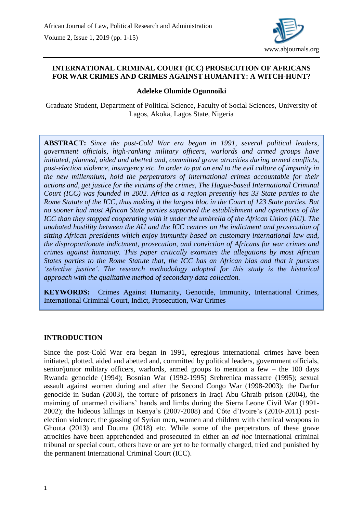

### **INTERNATIONAL CRIMINAL COURT (ICC) PROSECUTION OF AFRICANS FOR WAR CRIMES AND CRIMES AGAINST HUMANITY: A WITCH-HUNT?**

#### **Adeleke Olumide Ogunnoiki**

Graduate Student, Department of Political Science, Faculty of Social Sciences, University of Lagos, Akoka, Lagos State, Nigeria

**ABSTRACT:** *Since the post-Cold War era began in 1991, several political leaders, government officials, high-ranking military officers, warlords and armed groups have initiated, planned, aided and abetted and, committed grave atrocities during armed conflicts, post-election violence, insurgency etc. In order to put an end to the evil culture of impunity in the new millennium, hold the perpetrators of international crimes accountable for their actions and, get justice for the victims of the crimes, The Hague-based International Criminal Court (ICC) was founded in 2002. Africa as a region presently has 33 State parties to the Rome Statute of the ICC, thus making it the largest bloc in the Court of 123 State parties. But no sooner had most African State parties supported the establishment and operations of the ICC than they stopped cooperating with it under the umbrella of the African Union (AU). The unabated hostility between the AU and the ICC centres on the indictment and prosecution of sitting African presidents which enjoy immunity based on customary international law and, the disproportionate indictment, prosecution, and conviction of Africans for war crimes and crimes against humanity. This paper critically examines the allegations by most African States parties to the Rome Statute that, the ICC has an African bias and that it pursues 'selective justice'. The research methodology adopted for this study is the historical approach with the qualitative method of secondary data collection.*

**KEYWORDS:** Crimes Against Humanity, Genocide, Immunity, International Crimes, International Criminal Court, Indict, Prosecution, War Crimes

#### **INTRODUCTION**

Since the post-Cold War era began in 1991, egregious international crimes have been initiated, plotted, aided and abetted and, committed by political leaders, government officials, senior/junior military officers, warlords, armed groups to mention a few  $-$  the 100 days Rwanda genocide (1994); Bosnian War (1992-1995) Srebrenica massacre (1995); sexual assault against women during and after the Second Congo War (1998-2003); the Darfur genocide in Sudan (2003), the torture of prisoners in Iraqi Abu Ghraib prison (2004), the maiming of unarmed civilians' hands and limbs during the Sierra Leone Civil War (1991- 2002); the hideous killings in Kenya's (2007-2008) and Côte d'Ivoire's (2010-2011) postelection violence; the gassing of Syrian men, women and children with chemical weapons in Ghouta (2013) and Douma (2018) etc. While some of the perpetrators of these grave atrocities have been apprehended and prosecuted in either an *ad hoc* international criminal tribunal or special court, others have or are yet to be formally charged, tried and punished by the permanent International Criminal Court (ICC).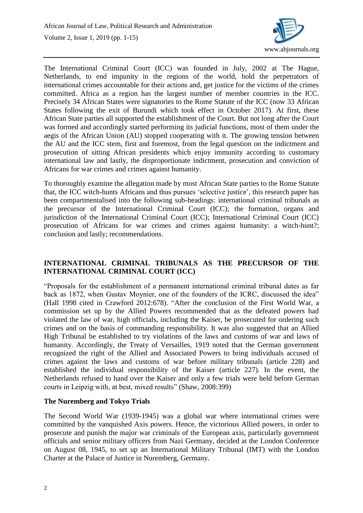

The International Criminal Court (ICC) was founded in July, 2002 at The Hague, Netherlands, to end impunity in the regions of the world, hold the perpetrators of international crimes accountable for their actions and, get justice for the victims of the crimes committed. Africa as a region has the largest number of member countries in the ICC. Precisely 34 African States were signatories to the Rome Statute of the ICC (now 33 African States following the exit of Burundi which took effect in October 2017). At first, these African State parties all supported the establishment of the Court. But not long after the Court was formed and accordingly started performing its judicial functions, most of them under the aegis of the African Union (AU) stopped cooperating with it. The growing tension between the AU and the ICC stem, first and foremost, from the legal question on the indictment and prosecution of sitting African presidents which enjoy immunity according to customary international law and lastly, the disproportionate indictment, prosecution and conviction of Africans for war crimes and crimes against humanity.

To thoroughly examine the allegation made by most African State parties to the Rome Statute that, the ICC witch-hunts Africans and thus pursues 'selective justice', this research paper has been compartmentalised into the following sub-headings: international criminal tribunals as the precursor of the International Criminal Court (ICC); the formation, organs and jurisdiction of the International Criminal Court (ICC); International Criminal Court (ICC) prosecution of Africans for war crimes and crimes against humanity: a witch-hunt?; conclusion and lastly; recommendations.

## **INTERNATIONAL CRIMINAL TRIBUNALS AS THE PRECURSOR OF THE INTERNATIONAL CRIMINAL COURT (ICC)**

"Proposals for the establishment of a permanent international criminal tribunal dates as far back as 1872, when Gustav Moynier, one of the founders of the ICRC, discussed the idea" (Hall 1998 cited in Crawford 2012:678). "After the conclusion of the First World War, a commission set up by the Allied Powers recommended that as the defeated powers had violated the law of war, high officials, including the Kaiser, be prosecuted for ordering such crimes and on the basis of commanding responsibility. It was also suggested that an Allied High Tribunal be established to try violations of the laws and customs of war and laws of humanity. Accordingly, the Treaty of Versailles, 1919 noted that the German government recognized the right of the Allied and Associated Powers to bring individuals accused of crimes against the laws and customs of war before military tribunals (article 228) and established the individual responsibility of the Kaiser (article 227). In the event, the Netherlands refused to hand over the Kaiser and only a few trials were held before German courts in Leipzig with, at best, mixed results" (Shaw, 2008:399)

### **The Nuremberg and Tokyo Trials**

The Second World War (1939-1945) was a global war where international crimes were committed by the vanquished Axis powers. Hence, the victorious Allied powers, in order to prosecute and punish the major war criminals of the European axis, particularly government officials and senior military officers from Nazi Germany, decided at the London Conference on August 08, 1945, to set up an International Military Tribunal (IMT) with the London Charter at the Palace of Justice in Nuremberg, Germany.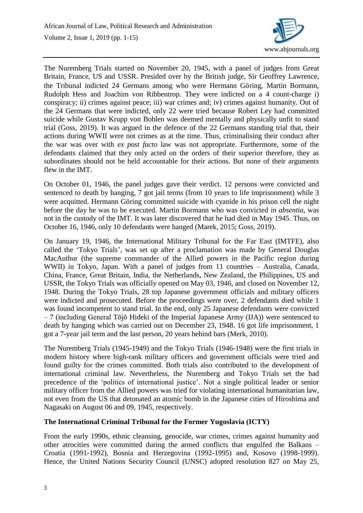

The Nuremberg Trials started on November 20, 1945, with a panel of judges from Great Britain, France, US and USSR. Presided over by the British judge, Sir Geoffrey Lawrence, the Tribunal indicted 24 Germans among who were Hermann Göring, Martin Bormann, Rudolph Hess and Joachim von Ribbentrop. They were indicted on a 4 count-charge i) conspiracy; ii) crimes against peace; iii) war crimes and; iv) crimes against humanity. Out of the 24 Germans that were indicted, only 22 were tried because Robert Ley had committed suicide while Gustav Krupp von Bohlen was deemed mentally and physically unfit to stand trial (Goss, 2019). It was argued in the defence of the 22 Germans standing trial that, their actions during WWII were not crimes as at the time. Thus, criminalising their conduct after the war was over with *ex post facto* law was not appropriate. Furthermore, some of the defendants claimed that they only acted on the orders of their superior therefore, they as subordinates should not be held accountable for their actions. But none of their arguments flew in the IMT.

On October 01, 1946, the panel judges gave their verdict. 12 persons were convicted and sentenced to death by hanging, 7 got jail terms (from 10 years to life imprisonment) while 3 were acquitted. Hermann Göring committed suicide with cyanide in his prison cell the night before the day he was to be executed. Martin Bormann who was convicted *in absentia*, was not in the custody of the IMT. It was later discovered that he had died in May 1945. Thus, on October 16, 1946, only 10 defendants were hanged (Marek, 2015; Goss, 2019).

On January 19, 1946, the International Military Tribunal for the Far East (IMTFE), also called the 'Tokyo Trials', was set up after a proclamation was made by General Douglas MacAuthur (the supreme commander of the Allied powers in the Pacific region during WWII) in Tokyo, Japan. With a panel of judges from 11 countries – Australia, Canada, China, France, Great Britain, India, the Netherlands, New Zealand, the Philippines, US and USSR, the Tokyo Trials was officially opened on May 03, 1946, and closed on November 12, 1948. During the Tokyo Trials, 28 top Japanese government officials and military officers were indicted and prosecuted. Before the proceedings were over, 2 defendants died while 1 was found incompetent to stand trial. In the end, only 25 Japanese defendants were convicted – 7 (including General Tōjō Hideki of the Imperial Japanese Army (IJA)) were sentenced to death by hanging which was carried out on December 23, 1948. 16 got life imprisonment, 1 got a 7-year jail term and the last person, 20 years behind bars (Merk, 2010).

The Nuremberg Trials (1945-1949) and the Tokyo Trials (1946-1948) were the first trials in modern history where high-rank military officers and government officials were tried and found guilty for the crimes committed. Both trials also contributed to the development of international criminal law. Nevertheless, the Nuremberg and Tokyo Trials set the bad precedence of the 'politics of international justice'. Not a single political leader or senior military officer from the Allied powers was tried for violating international humanitarian law, not even from the US that detonated an atomic bomb in the Japanese cities of Hiroshima and Nagasaki on August 06 and 09, 1945, respectively.

### **The International Criminal Tribunal for the Former Yugoslavia (ICTY)**

From the early 1990s, ethnic cleansing, genocide, war crimes, crimes against humanity and other atrocities were committed during the armed conflicts that engulfed the Balkans – Croatia (1991-1992), Bosnia and Herzegovina (1992-1995) and, Kosovo (1998-1999). Hence, the United Nations Security Council (UNSC) adopted resolution 827 on May 25,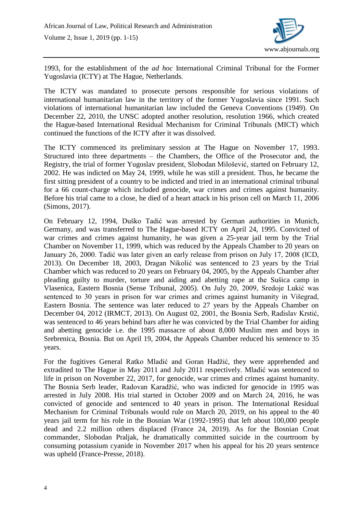

1993, for the establishment of the *ad hoc* International Criminal Tribunal for the Former Yugoslavia (ICTY) at The Hague, Netherlands.

The ICTY was mandated to prosecute persons responsible for serious violations of international humanitarian law in the territory of the former Yugoslavia since 1991. Such violations of international humanitarian law included the Geneva Conventions (1949). On December 22, 2010, the UNSC adopted another resolution, resolution 1966, which created the Hague-based International Residual Mechanism for Criminal Tribunals (MICT) which continued the functions of the ICTY after it was dissolved.

The ICTY commenced its preliminary session at The Hague on November 17, 1993. Structured into three departments – the Chambers, the Office of the Prosecutor and, the Registry, the trial of former Yugoslav president, Slobodan Milošević, started on February 12, 2002. He was indicted on May 24, 1999, while he was still a president. Thus, he became the first sitting president of a country to be indicted and tried in an international criminal tribunal for a 66 count-charge which included genocide, war crimes and crimes against humanity. Before his trial came to a close, he died of a heart attack in his prison cell on March 11, 2006 (Simons, 2017).

On February 12, 1994, Duško Tadić was arrested by German authorities in Munich, Germany, and was transferred to The Hague-based ICTY on April 24, 1995. Convicted of war crimes and crimes against humanity, he was given a 25-year jail term by the Trial Chamber on November 11, 1999, which was reduced by the Appeals Chamber to 20 years on January 26, 2000. Tadić was later given an early release from prison on July 17, 2008 (ICD, 2013). On December 18, 2003, Dragan Nikolić was sentenced to 23 years by the Trial Chamber which was reduced to 20 years on February 04, 2005, by the Appeals Chamber after pleading guilty to murder, torture and aiding and abetting rape at the Sušica camp in Vlasenica, Eastern Bosnia (Sense Tribunal, 2005). On July 20, 2009, Sredoje Lukić was sentenced to 30 years in prison for war crimes and crimes against humanity in Višegrad, Eastern Bosnia. The sentence was later reduced to 27 years by the Appeals Chamber on December 04, 2012 (IRMCT, 2013). On August 02, 2001, the Bosnia Serb, Radislav Krstić, was sentenced to 46 years behind bars after he was convicted by the Trial Chamber for aiding and abetting genocide i.e. the 1995 massacre of about 8,000 Muslim men and boys in Srebrenica, Bosnia. But on April 19, 2004, the Appeals Chamber reduced his sentence to 35 years.

For the fugitives General Ratko Mladić and Goran Hadžić, they were apprehended and extradited to The Hague in May 2011 and July 2011 respectively. Mladić was sentenced to life in prison on November 22, 2017, for genocide, war crimes and crimes against humanity. The Bosnia Serb leader, Radovan Karadžić, who was indicted for genocide in 1995 was arrested in July 2008. His trial started in October 2009 and on March 24, 2016, he was convicted of genocide and sentenced to 40 years in prison. The International Residual Mechanism for Criminal Tribunals would rule on March 20, 2019, on his appeal to the 40 years jail term for his role in the Bosnian War (1992-1995) that left about 100,000 people dead and 2.2 million others displaced (France 24, 2019). As for the Bosnian Croat commander, Slobodan Praljak, he dramatically committed suicide in the courtroom by consuming potassium cyanide in November 2017 when his appeal for his 20 years sentence was upheld (France-Presse, 2018).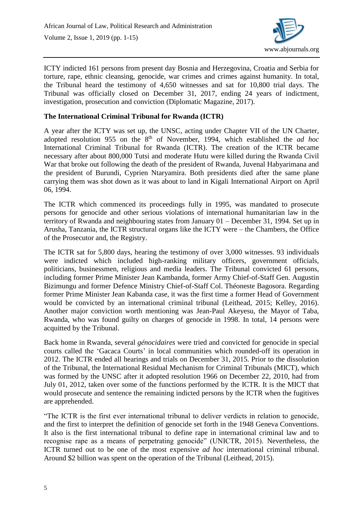

ICTY indicted 161 persons from present day Bosnia and Herzegovina, Croatia and Serbia for torture, rape, ethnic cleansing, genocide, war crimes and crimes against humanity. In total, the Tribunal heard the testimony of 4,650 witnesses and sat for 10,800 trial days. The Tribunal was officially closed on December 31, 2017, ending 24 years of indictment, investigation, prosecution and conviction (Diplomatic Magazine, 2017).

## **The International Criminal Tribunal for Rwanda (ICTR)**

A year after the ICTY was set up, the UNSC, acting under Chapter VII of the UN Charter, adopted resolution 955 on the 8<sup>th</sup> of November, 1994, which established the *ad hoc* International Criminal Tribunal for Rwanda (ICTR). The creation of the ICTR became necessary after about 800,000 Tutsi and moderate Hutu were killed during the Rwanda Civil War that broke out following the death of the president of Rwanda, Juvenal Habyarimana and the president of Burundi, Cyprien Ntaryamira. Both presidents died after the same plane carrying them was shot down as it was about to land in Kigali International Airport on April 06, 1994.

The ICTR which commenced its proceedings fully in 1995, was mandated to prosecute persons for genocide and other serious violations of international humanitarian law in the territory of Rwanda and neighbouring states from January 01 – December 31, 1994. Set up in Arusha, Tanzania, the ICTR structural organs like the ICTY were – the Chambers, the Office of the Prosecutor and, the Registry.

The ICTR sat for 5,800 days, hearing the testimony of over 3,000 witnesses. 93 individuals were indicted which included high-ranking military officers, government officials, politicians, businessmen, religious and media leaders. The Tribunal convicted 61 persons, including former Prime Minister Jean Kambanda, former Army Chief-of-Staff Gen. Augustin Bizimungu and former Defence Ministry Chief-of-Staff Col. Théoneste Bagosora. Regarding former Prime Minister Jean Kabanda case, it was the first time a former Head of Government would be convicted by an international criminal tribunal (Leithead, 2015; Kelley, 2016). Another major conviction worth mentioning was Jean-Paul Akeyesu, the Mayor of Taba, Rwanda, who was found guilty on charges of genocide in 1998. In total, 14 persons were acquitted by the Tribunal.

Back home in Rwanda, several *génocidaires* were tried and convicted for genocide in special courts called the 'Gacaca Courts' in local communities which rounded-off its operation in 2012. The ICTR ended all hearings and trials on December 31, 2015. Prior to the dissolution of the Tribunal, the International Residual Mechanism for Criminal Tribunals (MICT), which was formed by the UNSC after it adopted resolution 1966 on December 22, 2010, had from July 01, 2012, taken over some of the functions performed by the ICTR. It is the MICT that would prosecute and sentence the remaining indicted persons by the ICTR when the fugitives are apprehended.

"The ICTR is the first ever international tribunal to deliver verdicts in relation to genocide, and the first to interpret the definition of genocide set forth in the 1948 Geneva Conventions. It also is the first international tribunal to define rape in international criminal law and to recognise rape as a means of perpetrating genocide" (UNICTR, 2015). Nevertheless, the ICTR turned out to be one of the most expensive *ad hoc* international criminal tribunal. Around \$2 billion was spent on the operation of the Tribunal (Leithead, 2015).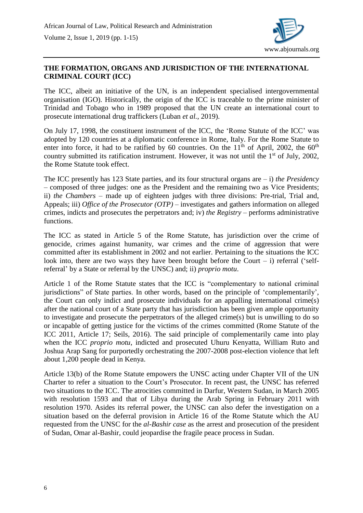

### **THE FORMATION, ORGANS AND JURISDICTION OF THE INTERNATIONAL CRIMINAL COURT (ICC)**

The ICC, albeit an initiative of the UN, is an independent specialised intergovernmental organisation (IGO). Historically, the origin of the ICC is traceable to the prime minister of Trinidad and Tobago who in 1989 proposed that the UN create an international court to prosecute international drug traffickers (Luban *et al.*, 2019).

On July 17, 1998, the constituent instrument of the ICC, the 'Rome Statute of the ICC' was adopted by 120 countries at a diplomatic conference in Rome, Italy. For the Rome Statute to enter into force, it had to be ratified by 60 countries. On the  $11<sup>th</sup>$  of April, 2002, the 60<sup>th</sup> country submitted its ratification instrument. However, it was not until the  $1<sup>st</sup>$  of July, 2002, the Rome Statute took effect.

The ICC presently has 123 State parties, and its four structural organs are – i) *the Presidency* – composed of three judges: one as the President and the remaining two as Vice Presidents; ii) *the Chambers* – made up of eighteen judges with three divisions: Pre-trial, Trial and, Appeals; iii) *Office of the Prosecutor (OTP)* – investigates and gathers information on alleged crimes, indicts and prosecutes the perpetrators and; iv) *the Registry* – performs administrative functions.

The ICC as stated in Article 5 of the Rome Statute, has jurisdiction over the crime of genocide, crimes against humanity, war crimes and the crime of aggression that were committed after its establishment in 2002 and not earlier. Pertaining to the situations the ICC look into, there are two ways they have been brought before the Court  $-$  i) referral ('selfreferral' by a State or referral by the UNSC) and; ii) *proprio motu*.

Article 1 of the Rome Statute states that the ICC is "complementary to national criminal jurisdictions" of State parties. In other words, based on the principle of 'complementarily', the Court can only indict and prosecute individuals for an appalling international crime(s) after the national court of a State party that has jurisdiction has been given ample opportunity to investigate and prosecute the perpetrators of the alleged crime(s) but is unwilling to do so or incapable of getting justice for the victims of the crimes committed (Rome Statute of the ICC 2011, Article 17; Seils, 2016). The said principle of complementarily came into play when the ICC *proprio motu*, indicted and prosecuted Uhuru Kenyatta, William Ruto and Joshua Arap Sang for purportedly orchestrating the 2007-2008 post-election violence that left about 1,200 people dead in Kenya.

Article 13(b) of the Rome Statute empowers the UNSC acting under Chapter VII of the UN Charter to refer a situation to the Court's Prosecutor. In recent past, the UNSC has referred two situations to the ICC. The atrocities committed in Darfur, Western Sudan, in March 2005 with resolution 1593 and that of Libya during the Arab Spring in February 2011 with resolution 1970. Asides its referral power, the UNSC can also defer the investigation on a situation based on the deferral provision in Article 16 of the Rome Statute which the AU requested from the UNSC for the *al-Bashir case* as the arrest and prosecution of the president of Sudan, Omar al-Bashir, could jeopardise the fragile peace process in Sudan.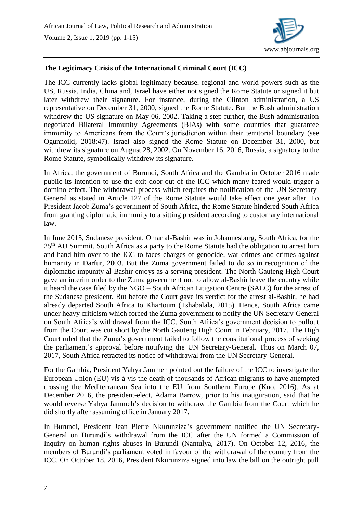

#### **The Legitimacy Crisis of the International Criminal Court (ICC)**

The ICC currently lacks global legitimacy because, regional and world powers such as the US, Russia, India, China and, Israel have either not signed the Rome Statute or signed it but later withdrew their signature. For instance, during the Clinton administration, a US representative on December 31, 2000, signed the Rome Statute. But the Bush administration withdrew the US signature on May 06, 2002. Taking a step further, the Bush administration negotiated Bilateral Immunity Agreements (BIAs) with some countries that guarantee immunity to Americans from the Court's jurisdiction within their territorial boundary (see Ogunnoiki, 2018:47). Israel also signed the Rome Statute on December 31, 2000, but withdrew its signature on August 28, 2002. On November 16, 2016, Russia, a signatory to the Rome Statute, symbolically withdrew its signature.

In Africa, the government of Burundi, South Africa and the Gambia in October 2016 made public its intention to use the exit door out of the ICC which many feared would trigger a domino effect. The withdrawal process which requires the notification of the UN Secretary-General as stated in Article 127 of the Rome Statute would take effect one year after. To President Jacob Zuma's government of South Africa, the Rome Statute hindered South Africa from granting diplomatic immunity to a sitting president according to customary international law.

In June 2015, Sudanese president, Omar al-Bashir was in Johannesburg, South Africa, for the 25<sup>th</sup> AU Summit. South Africa as a party to the Rome Statute had the obligation to arrest him and hand him over to the ICC to faces charges of genocide, war crimes and crimes against humanity in Darfur, 2003. But the Zuma government failed to do so in recognition of the diplomatic impunity al-Bashir enjoys as a serving president. The North Gauteng High Court gave an interim order to the Zuma government not to allow al-Bashir leave the country while it heard the case filed by the NGO – South African Litigation Centre (SALC) for the arrest of the Sudanese president. But before the Court gave its verdict for the arrest al-Bashir, he had already departed South Africa to Khartoum (Tshabalala, 2015). Hence, South Africa came under heavy criticism which forced the Zuma government to notify the UN Secretary-General on South Africa's withdrawal from the ICC. South Africa's government decision to pullout from the Court was cut short by the North Gauteng High Court in February, 2017. The High Court ruled that the Zuma's government failed to follow the constitutional process of seeking the parliament's approval before notifying the UN Secretary-General. Thus on March 07, 2017, South Africa retracted its notice of withdrawal from the UN Secretary-General.

For the Gambia, President Yahya Jammeh pointed out the failure of the ICC to investigate the European Union (EU) vis-à-vis the death of thousands of African migrants to have attempted crossing the Mediterranean Sea into the EU from Southern Europe (Kuo, 2016). As at December 2016, the president-elect, Adama Barrow, prior to his inauguration, said that he would reverse Yahya Jammeh's decision to withdraw the Gambia from the Court which he did shortly after assuming office in January 2017.

In Burundi, President Jean Pierre Nkurunziza's government notified the UN Secretary-General on Burundi's withdrawal from the ICC after the UN formed a Commission of Inquiry on human rights abuses in Burundi (Nantulya, 2017). On October 12, 2016, the members of Burundi's parliament voted in favour of the withdrawal of the country from the ICC. On October 18, 2016, President Nkurunziza signed into law the bill on the outright pull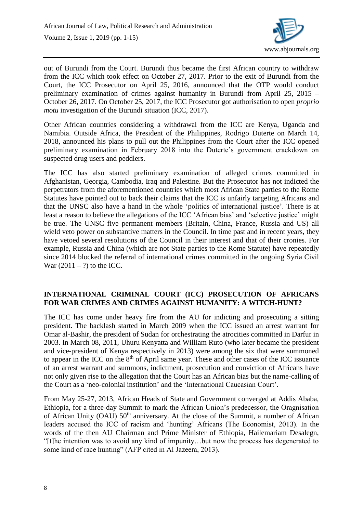

out of Burundi from the Court. Burundi thus became the first African country to withdraw from the ICC which took effect on October 27, 2017. Prior to the exit of Burundi from the Court, the ICC Prosecutor on April 25, 2016, announced that the OTP would conduct preliminary examination of crimes against humanity in Burundi from April 25, 2015 – October 26, 2017. On October 25, 2017, the ICC Prosecutor got authorisation to open *proprio motu* investigation of the Burundi situation (ICC, 2017).

Other African countries considering a withdrawal from the ICC are Kenya, Uganda and Namibia. Outside Africa, the President of the Philippines, Rodrigo Duterte on March 14, 2018, announced his plans to pull out the Philippines from the Court after the ICC opened preliminary examination in February 2018 into the Duterte's government crackdown on suspected drug users and peddlers.

The ICC has also started preliminary examination of alleged crimes committed in Afghanistan, Georgia, Cambodia, Iraq and Palestine. But the Prosecutor has not indicted the perpetrators from the aforementioned countries which most African State parties to the Rome Statutes have pointed out to back their claims that the ICC is unfairly targeting Africans and that the UNSC also have a hand in the whole 'politics of international justice'. There is at least a reason to believe the allegations of the ICC 'African bias' and 'selective justice' might be true. The UNSC five permanent members (Britain, China, France, Russia and US) all wield veto power on substantive matters in the Council. In time past and in recent years, they have vetoed several resolutions of the Council in their interest and that of their cronies. For example, Russia and China (which are not State parties to the Rome Statute) have repeatedly since 2014 blocked the referral of international crimes committed in the ongoing Syria Civil War  $(2011 - ?)$  to the ICC.

### **INTERNATIONAL CRIMINAL COURT (ICC) PROSECUTION OF AFRICANS FOR WAR CRIMES AND CRIMES AGAINST HUMANITY: A WITCH-HUNT?**

The ICC has come under heavy fire from the AU for indicting and prosecuting a sitting president. The backlash started in March 2009 when the ICC issued an arrest warrant for Omar al-Bashir, the president of Sudan for orchestrating the atrocities committed in Darfur in 2003. In March 08, 2011, Uhuru Kenyatta and William Ruto (who later became the president and vice-president of Kenya respectively in 2013) were among the six that were summoned to appear in the ICC on the 8<sup>th</sup> of April same year. These and other cases of the ICC issuance of an arrest warrant and summons, indictment, prosecution and conviction of Africans have not only given rise to the allegation that the Court has an African bias but the name-calling of the Court as a 'neo-colonial institution' and the 'International Caucasian Court'.

From May 25-27, 2013, African Heads of State and Government converged at Addis Ababa, Ethiopia, for a three-day Summit to mark the African Union's predecessor, the Oragnisation of African Unity (OAU) 50<sup>th</sup> anniversary. At the close of the Summit, a number of African leaders accused the ICC of racism and 'hunting' Africans (The Economist, 2013). In the words of the then AU Chairman and Prime Minister of Ethiopia, Hailemariam Desalegn, "[t]he intention was to avoid any kind of impunity…but now the process has degenerated to some kind of race hunting" (AFP cited in Al Jazeera, 2013).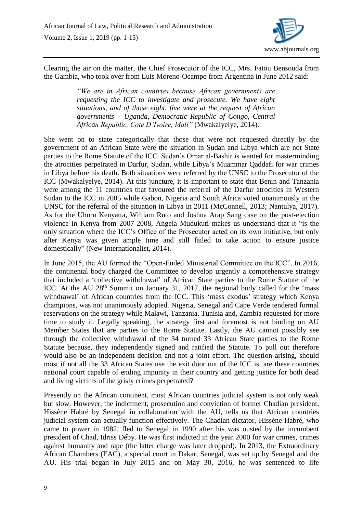

Clearing the air on the matter, the Chief Prosecutor of the ICC, Mrs. Fatou Bensouda from the Gambia, who took over from Luis Moreno-Ocampo from Argentina in June 2012 said:

> *"We are in African countries because African governments are requesting the ICC to investigate and prosecute. We have eight situations, and of those eight, five were at the request of African governments – Uganda, Democratic Republic of Congo, Central African Republic, Cote D'Ivoire, Mali"* (Mwakalyelye, 2014).

She went on to state categorically that those that were not requested directly by the government of an African State were the situation in Sudan and Libya which are not State parties to the Rome Statute of the ICC. Sudan's Omar al-Bashir is wanted for masterminding the atrocities perpetrated in Darfur, Sudan, while Libya's Muammar Qaddafi for war crimes in Libya before his death. Both situations were referred by the UNSC to the Prosecutor of the ICC (Mwakalyelye, 2014). At this juncture, it is important to state that Benin and Tanzania were among the 11 countries that favoured the referral of the Darfur atrocities in Western Sudan to the ICC in 2005 while Gabon, Nigeria and South Africa voted unanimously in the UNSC for the referral of the situation in Libya in 2011 (McConnell, 2013; Nantulya, 2017). As for the Uhuru Kenyatta, William Ruto and Joshua Arap Sang case on the post-election violence in Kenya from 2007-2008, Angela Mudukuti makes us understand that it "is the only situation where the ICC's Office of the Prosecutor acted on its own initiative, but only after Kenya was given ample time and still failed to take action to ensure justice domestically" (New Internationalist, 2014).

In June 2015, the AU formed the "Open-Ended Ministerial Committee on the ICC". In 2016, the continental body charged the Committee to develop urgently a comprehensive strategy that included a 'collective withdrawal' of African State parties to the Rome Statute of the ICC. At the AU  $28<sup>th</sup>$  Summit on January 31, 2017, the regional body called for the 'mass withdrawal' of African countries from the ICC. This 'mass exodus' strategy which Kenya champions, was not unanimously adopted. Nigeria, Senegal and Cape Verde tendered formal reservations on the strategy while Malawi, Tanzania, Tunisia and, Zambia requested for more time to study it. Legally speaking, the strategy first and foremost is not binding on AU Member States that are parties to the Rome Statute. Lastly, the AU cannot possibly see through the collective withdrawal of the 34 turned 33 African State parties to the Rome Statute because, they independently signed and ratified the Statute. To pull out therefore would also be an independent decision and not a joint effort. The question arising, should most if not all the 33 African States use the exit door out of the ICC is, are these countries national court capable of ending impunity in their country and getting justice for both dead and living victims of the grisly crimes perpetrated?

Presently on the African continent, most African countries judicial system is not only weak but slow. However, the indictment, prosecution and conviction of [former Chadian president,](http://www.dailymail.co.uk/wires/afp/article-3619723/Habre-trial-brings-momentum-African-justice-continent.html) Hissène Habré by Senegal in collaboration with the AU, tells us that African countries judicial system can actually function effectively. The Chadian dictator, Hissène Habré, who came to power in 1982, fled to Senegal in 1990 after his was ousted by the incumbent president of Chad, Idriss Déby. He was first indicted in the year 2000 for war crimes, crimes against humanity and rape (the latter charge was later dropped). In 2013, the Extraordinary African Chambers (EAC), a special court in Dakar, Senegal, was set up by Senegal and the AU. His trial began in July 2015 and on May 30, 2016, he was sentenced to life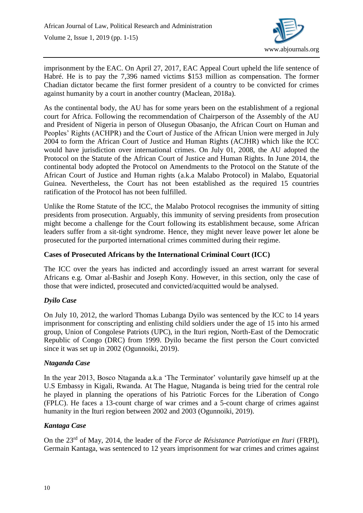

imprisonment by the EAC. On April 27, 2017, EAC Appeal Court upheld the life sentence of Habré. He is to pay the 7,396 named victims \$153 million as compensation. The former Chadian dictator became the first former president of a country to be convicted for crimes against humanity by a court in another country (Maclean, 2018a).

As the continental body, the AU has for some years been on the establishment of a regional court for Africa. Following the recommendation of Chairperson of the Assembly of the AU and President of Nigeria in person of Olusegun Obasanjo, the African Court on Human and Peoples' Rights (ACHPR) and the Court of Justice of the African Union were merged in July 2004 to form the African Court of Justice and Human Rights (ACJHR) which like the ICC would have jurisdiction over international crimes. On July 01, 2008, the AU adopted the Protocol on the Statute of the African Court of Justice and Human Rights. In June 2014, the continental body adopted the Protocol on Amendments to the Protocol on the Statute of the African Court of Justice and Human rights (a.k.a Malabo Protocol) in Malabo, Equatorial Guinea. Nevertheless, the Court has not been established as the required 15 countries ratification of the Protocol has not been fulfilled.

Unlike the Rome Statute of the ICC, the Malabo Protocol recognises the immunity of sitting presidents from prosecution. Arguably, this immunity of serving presidents from prosecution might become a challenge for the Court following its establishment because, some African leaders suffer from a sit-tight syndrome. Hence, they might never leave power let alone be prosecuted for the purported international crimes committed during their regime.

### **Cases of Prosecuted Africans by the International Criminal Court (ICC)**

The ICC over the years has indicted and accordingly issued an arrest warrant for several Africans e.g. Omar al-Bashir and Joseph Kony. However, in this section, only the case of those that were indicted, prosecuted and convicted/acquitted would be analysed.

### *Dyilo Case*

On July 10, 2012, the warlord Thomas Lubanga Dyilo was sentenced by the ICC to 14 years imprisonment for conscripting and enlisting child soldiers under the age of 15 into his armed group, Union of Congolese Patriots (UPC), in the Ituri region, North-East of the Democratic Republic of Congo (DRC) from 1999. Dyilo became the first person the Court convicted since it was set up in 2002 (Ogunnoiki, 2019).

### *Ntaganda Case*

In the year 2013, Bosco Ntaganda a.k.a 'The Terminator' voluntarily gave himself up at the U.S Embassy in Kigali, Rwanda. At The Hague, Ntaganda is being tried for the central role he played in planning the operations of his Patriotic Forces for the Liberation of Congo (FPLC). He faces a 13-count charge of war crimes and a 5-count charge of crimes against humanity in the Ituri region between 2002 and 2003 (Ogunnoiki, 2019).

### *Kantaga Case*

On the 23rd of May, 2014, the leader of the *Force de Résistance Patriotique en Ituri* (FRPI), Germain Kantaga, was sentenced to 12 years imprisonment for war crimes and crimes against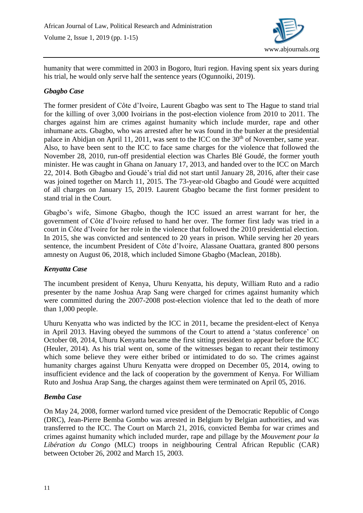

humanity that were committed in 2003 in Bogoro, Ituri region. Having spent six years during his trial, he would only serve half the sentence years (Ogunnoiki, 2019).

## *Gbagbo Case*

The former president of Côte d'Ivoire, Laurent Gbagbo was sent to The Hague to stand trial for the killing of over 3,000 Ivoirians in the post-election violence from 2010 to 2011. The charges against him are crimes against humanity which include murder, rape and other inhumane acts. Gbagbo, who was arrested after he was found in the bunker at the presidential palace in Abidjan on April 11, 2011, was sent to the ICC on the  $30<sup>th</sup>$  of November, same year. Also, to have been sent to the ICC to face same charges for the violence that followed the November 28, 2010, run-off presidential election was Charles Blé Goudé, the former youth minister. He was caught in Ghana on January 17, 2013, and handed over to the ICC on March 22, 2014. Both Gbagbo and Goudé's trial did not start until January 28, 2016, after their case was joined together on March 11, 2015. The 73-year-old Gbagbo and Goudé were acquitted of all charges on January 15, 2019. Laurent Gbagbo became the first former president to stand trial in the Court.

Gbagbo's wife, Simone Gbagbo, though the ICC issued an arrest warrant for her, the government of Côte d'Ivoire refused to hand her over. The former first lady was tried in a court in Côte d'Ivoire for her role in the violence that followed the 2010 presidential election. In 2015, she was convicted and sentenced to 20 years in prison. While serving her 20 years sentence, the incumbent President of Côte d'Ivoire, Alassane Ouattara, granted 800 persons amnesty on August 06, 2018, which included Simone Gbagbo (Maclean, 2018b).

### *Kenyatta Case*

The incumbent president of Kenya, Uhuru Kenyatta, his deputy, William Ruto and a radio presenter by the name Joshua Arap Sang were charged for crimes against humanity which were committed during the 2007-2008 post-election violence that led to the death of more than 1,000 people.

Uhuru Kenyatta who was indicted by the ICC in 2011, became the president-elect of Kenya in April 2013. Having obeyed the summons of the Court to attend a 'status conference' on October 08, 2014, Uhuru Kenyatta became the first sitting president to appear before the ICC (Heuler, 2014). As his trial went on, some of the witnesses began to recant their testimony which some believe they were either bribed or intimidated to do so. The crimes against humanity charges against Uhuru Kenyatta were dropped on December 05, 2014, owing to insufficient evidence and the lack of cooperation by the government of Kenya. For William Ruto and Joshua Arap Sang, the charges against them were terminated on April 05, 2016.

### *Bemba Case*

On May 24, 2008, former warlord turned vice president of the Democratic Republic of Congo (DRC), Jean-Pierre Bemba Gombo was arrested in Belgium by Belgian authorities, and was transferred to the ICC. The Court on March 21, 2016, convicted Bemba for war crimes and crimes against humanity which included murder, rape and pillage by the *Mouvement pour la Libération du Congo* (MLC) troops in neighbouring Central African Republic (CAR) between October 26, 2002 and March 15, 2003.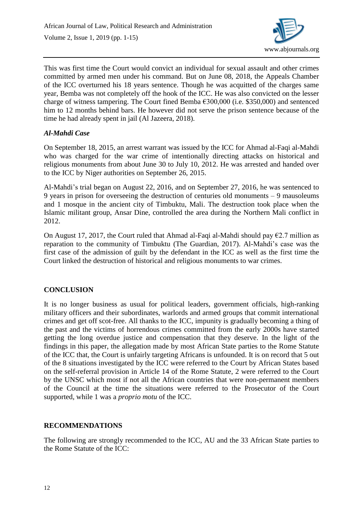

This was first time the Court would convict an individual for sexual assault and other crimes committed by armed men under his command. But on June 08, 2018, the Appeals Chamber of the ICC overturned his 18 years sentence. Though he was acquitted of the charges same year, Bemba was not completely off the hook of the ICC. He was also convicted on the lesser charge of witness tampering. The Court fined Bemba €300,000 (i.e. \$350,000) and sentenced him to 12 months behind bars. He however did not serve the prison sentence because of the time he had already spent in jail (Al Jazeera, 2018).

## *Al-Mahdi Case*

On September 18, 2015, an arrest warrant was issued by the ICC for Ahmad al-Faqi al-Mahdi who was charged for the war crime of intentionally directing attacks on historical and religious monuments from about June 30 to July 10, 2012. He was arrested and handed over to the ICC by Niger authorities on September 26, 2015.

Al-Mahdi's trial began on August 22, 2016, and on September 27, 2016, he was sentenced to 9 years in prison for overseeing the destruction of centuries old monuments – 9 mausoleums and 1 mosque in the ancient city of Timbuktu, Mali. The destruction took place when the Islamic militant group, Ansar Dine, controlled the area during the Northern Mali conflict in 2012.

On August 17, 2017, the Court ruled that Ahmad al-Faqi al-Mahdi should pay  $\epsilon$ 2.7 million as reparation to the community of Timbuktu (The Guardian, 2017). Al-Mahdi's case was the first case of the admission of guilt by the defendant in the ICC as well as the first time the Court linked the destruction of historical and religious monuments to war crimes.

# **CONCLUSION**

It is no longer business as usual for political leaders, government officials, high-ranking military officers and their subordinates, warlords and armed groups that commit international crimes and get off scot-free. All thanks to the ICC, impunity is gradually becoming a thing of the past and the victims of horrendous crimes committed from the early 2000s have started getting the long overdue justice and compensation that they deserve. In the light of the findings in this paper, the allegation made by most African State parties to the Rome Statute of the ICC that, the Court is unfairly targeting Africans is unfounded. It is on record that 5 out of the 8 situations investigated by the ICC were referred to the Court by African States based on the self-referral provision in Article 14 of the Rome Statute, 2 were referred to the Court by the UNSC which most if not all the African countries that were non-permanent members of the Council at the time the situations were referred to the Prosecutor of the Court supported, while 1 was a *proprio motu* of the ICC.

# **RECOMMENDATIONS**

The following are strongly recommended to the ICC, AU and the 33 African State parties to the Rome Statute of the ICC: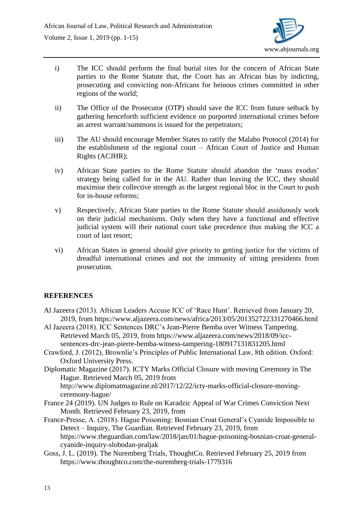

- i) The ICC should perform the final burial rites for the concern of African State parties to the Rome Statute that, the Court has an African bias by indicting, prosecuting and convicting non-Africans for heinous crimes committed in other regions of the world;
- ii) The Office of the Prosecutor (OTP) should save the ICC from future setback by gathering henceforth sufficient evidence on purported international crimes before an arrest warrant/summons is issued for the perpetrators;
- iii) The AU should encourage Member States to ratify the Malabo Protocol (2014) for the establishment of the regional court – African Court of Justice and Human Rights (ACJHR);
- iv) African State parties to the Rome Statute should abandon the 'mass exodus' strategy being called for in the AU. Rather than leaving the ICC, they should maximise their collective strength as the largest regional bloc in the Court to push for in-house reforms;
- v) Respectively, African State parties to the Rome Statute should assiduously work on their judicial mechanisms. Only when they have a functional and effective judicial system will their national court take precedence thus making the ICC a court of last resort;
- vi) African States in general should give priority to getting justice for the victims of dreadful international crimes and not the immunity of sitting presidents from prosecution.

# **REFERENCES**

- Al Jazeera (2013). African Leaders Accuse ICC of 'Race Hunt'. Retrieved from January 20, 2019, from https://www.aljazeera.com/news/africa/2013/05/201352722331270466.html
- Al Jazeera (2018). ICC Sentences DRC's Jean-Pierre Bemba over Witness Tampering. Retrieved March 05, 2019, from https://www.aljazeera.com/news/2018/09/iccsentences-drc-jean-pierre-bemba-witness-tampering-180917131831205.html
- Crawford, J. (2012), Brownlie's Principles of Public International Law, 8th edition. Oxford: Oxford University Press.
- Diplomatic Magazine (2017). ICTY Marks Official Closure with moving Ceremony in The Hague. Retrieved March 05, 2019 from

http://www.diplomatmagazine.nl/2017/12/22/icty-marks-official-closure-movingceremony-hague/

- France 24 (2019). UN Judges to Rule on Karadzic Appeal of War Crimes Conviction Next Month. Retrieved February 23, 2019, from
- France-Presse, A. (2018). Hague Poisoning: Bosnian Croat General's Cyanide Impossible to Detect – Inquiry, The Guardian. Retrieved February 23, 2019, from https://www.theguardian.com/law/2018/jan/01/hague-poisoning-bosnian-croat-generalcyanide-inquiry-slobodan-praljak
- Goss, J. L. (2019). The Nuremberg Trials, ThoughtCo. Retrieved February 25, 2019 from https://www.thoughtco.com/the-nuremberg-trials-1779316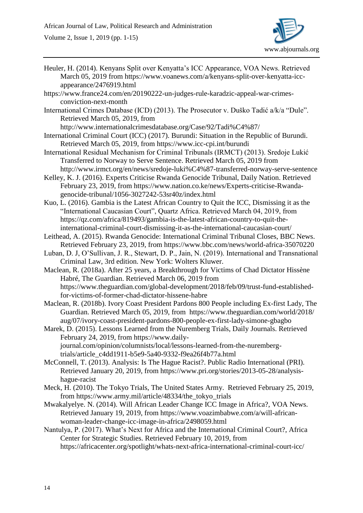Volume 2, Issue 1, 2019 (pp. 1-15)



- Heuler, H. (2014). Kenyans Split over Kenyatta's ICC Appearance, VOA News. Retrieved March 05, 2019 from https://www.voanews.com/a/kenyans-split-over-kenyatta-iccappearance/2476919.html
- https://www.france24.com/en/20190222-un-judges-rule-karadzic-appeal-war-crimesconviction-next-month
- International Crimes Database (ICD) (2013). The Prosecutor v. Duško Tadić a/k/a "Dule". Retrieved March 05, 2019, from

http://www.internationalcrimesdatabase.org/Case/92/Tadi%C4%87/

- International Criminal Court (ICC) (2017). Burundi: Situation in the Republic of Burundi. Retrieved March 05, 2019, from https://www.icc-cpi.int/burundi
- International Residual Mechanism for Criminal Tribunals (IRMCT) (2013). Sredoje Lukić Transferred to Norway to Serve Sentence. Retrieved March 05, 2019 from http://www.irmct.org/en/news/sredoje-luki%C4%87-transferred-norway-serve-sentence
- Kelley, K. J. (2016). Experts Criticise Rwanda Genocide Tribunal, Daily Nation. Retrieved February 23, 2019, from https://www.nation.co.ke/news/Experts-criticise-Rwandagenocide-tribunal/1056-3027242-53sr40z/index.html
- Kuo, L. (2016). Gambia is the Latest African Country to Quit the ICC, Dismissing it as the "International Caucasian Court", Quartz Africa. Retrieved March 04, 2019, from https://qz.com/africa/819493/gambia-is-the-latest-african-country-to-quit-theinternational-criminal-court-dismissing-it-as-the-international-caucasian-court/
- Leithead, A. (2015). Rwanda Genocide: International Criminal Tribunal Closes, BBC News. Retrieved February 23, 2019, from https://www.bbc.com/news/world-africa-35070220
- Luban, D. J, O'Sullivan, J. R., Stewart, D. P., Jain, N. (2019). International and Transnational Criminal Law, 3rd edition. New York: Wolters Kluwer.
- Maclean, R. (2018a). After 25 years, a Breakthrough for Victims of Chad Dictator Hissène Habré, The Guardian. Retrieved March 06, 2019 from https://www.theguardian.com/global-development/2018/feb/09/trust-fund-establishedfor-victims-of-former-chad-dictator-hissene-habre
- Maclean, R. (2018b). Ivory Coast President Pardons 800 People including Ex-first Lady, The Guardian. Retrieved March 05, 2019, from https://www.theguardian.com/world/2018/ aug/07/ivory-coast-president-pardons-800-people-ex-first-lady-simone-gbagbo
- Marek, D. (2015). Lessons Learned from the Nuremberg Trials, Daily Journals. Retrieved February 24, 2019, from https://www.dailyjournal.com/opinion/columnists/local/lessons-learned-from-the-nurembergtrials/article\_c4dd1911-b5e9-5a40-9332-f9ea26f4b77a.html
- McConnell, T. (2013). Analysis: Is The Hague Racist?. Public Radio International (PRI). Retrieved January 20, 2019, from https://www.pri.org/stories/2013-05-28/analysishague-racist
- Meck, H. (2010). The Tokyo Trials, The United States Army. Retrieved February 25, 2019, from https://www.army.mil/article/48334/the\_tokyo\_trials
- Mwakalyelye. N. (2014). Will African Leader Change ICC Image in Africa?, VOA News. Retrieved January 19, 2019, from https://www.voazimbabwe.com/a/will-africanwoman-leader-change-icc-image-in-africa/2498059.html
- Nantulya, P. (2017). What's Next for Africa and the International Criminal Court?, Africa Center for Strategic Studies. Retrieved February 10, 2019, from https://africacenter.org/spotlight/whats-next-africa-international-criminal-court-icc/